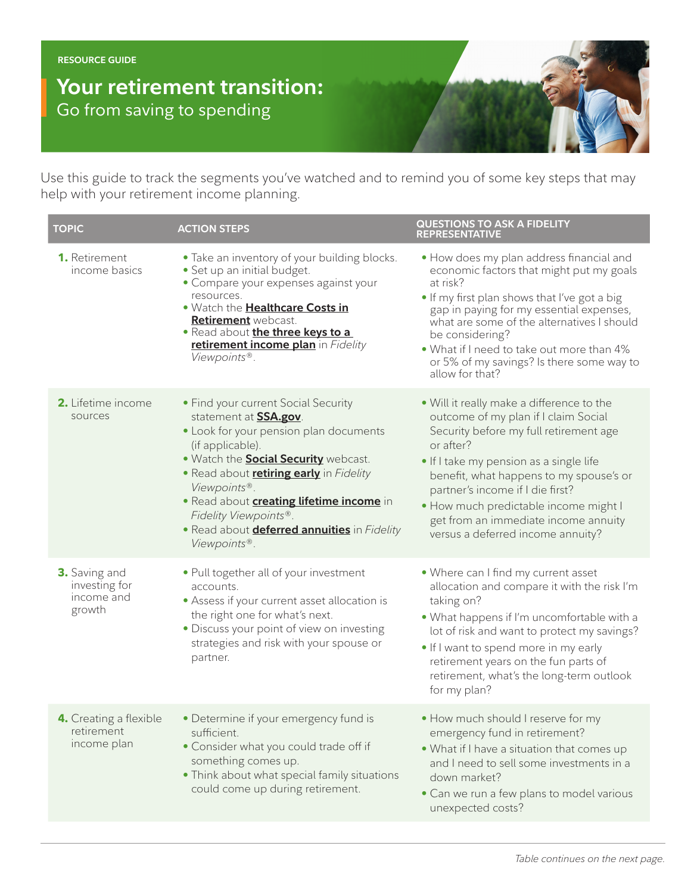**RESOURCE GUIDE**

## **Your retirement transition:** Go from saving to spending

Use this guide to track the segments you've watched and to remind you of some key steps that may help with your retirement income planning.

| <b>TOPIC</b>                                                  | <b>ACTION STEPS</b>                                                                                                                                                                                                                                                                                                                                                                                   | <b>QUESTIONS TO ASK A FIDELITY</b><br><b>REPRESENTATIVE</b>                                                                                                                                                                                                                                                                                                                              |
|---------------------------------------------------------------|-------------------------------------------------------------------------------------------------------------------------------------------------------------------------------------------------------------------------------------------------------------------------------------------------------------------------------------------------------------------------------------------------------|------------------------------------------------------------------------------------------------------------------------------------------------------------------------------------------------------------------------------------------------------------------------------------------------------------------------------------------------------------------------------------------|
| <b>1.</b> Retirement<br>income basics                         | • Take an inventory of your building blocks.<br>· Set up an initial budget.<br>• Compare your expenses against your<br>resources.<br>. Watch the <b>Healthcare Costs in</b><br>Retirement webcast.<br>• Read about the three keys to a<br>retirement income plan in Fidelity<br>Viewpoints®.                                                                                                          | . How does my plan address financial and<br>economic factors that might put my goals<br>at risk?<br>• If my first plan shows that I've got a big<br>gap in paying for my essential expenses,<br>what are some of the alternatives I should<br>be considering?<br>. What if I need to take out more than 4%<br>or 5% of my savings? Is there some way to<br>allow for that?               |
| <b>2.</b> Lifetime income<br>sources                          | • Find your current Social Security<br>statement at <b>SSA.gov</b> .<br>• Look for your pension plan documents<br>(if applicable).<br>. Watch the <b>Social Security</b> webcast.<br>. Read about <b>retiring early</b> in Fidelity<br>Viewpoints®.<br>· Read about <b>creating lifetime income</b> in<br>Fidelity Viewpoints®.<br>• Read about <b>deferred annuities</b> in Fidelity<br>Viewpoints®. | . Will it really make a difference to the<br>outcome of my plan if I claim Social<br>Security before my full retirement age<br>or after?<br>. If I take my pension as a single life<br>benefit, what happens to my spouse's or<br>partner's income if I die first?<br>• How much predictable income might I<br>get from an immediate income annuity<br>versus a deferred income annuity? |
| <b>3.</b> Saving and<br>investing for<br>income and<br>growth | • Pull together all of your investment<br>accounts.<br>• Assess if your current asset allocation is<br>the right one for what's next.<br>• Discuss your point of view on investing<br>strategies and risk with your spouse or<br>partner.                                                                                                                                                             | . Where can I find my current asset<br>allocation and compare it with the risk I'm<br>taking on?<br>. What happens if I'm uncomfortable with a<br>lot of risk and want to protect my savings?<br>. If I want to spend more in my early<br>retirement years on the fun parts of<br>retirement, what's the long-term outlook<br>for my plan?                                               |
| 4. Creating a flexible<br>retirement<br>income plan           | • Determine if your emergency fund is<br>sufficient.<br>• Consider what you could trade off if<br>something comes up.<br>• Think about what special family situations<br>could come up during retirement.                                                                                                                                                                                             | • How much should I reserve for my<br>emergency fund in retirement?<br>. What if I have a situation that comes up<br>and I need to sell some investments in a<br>down market?<br>• Can we run a few plans to model various<br>unexpected costs?                                                                                                                                          |